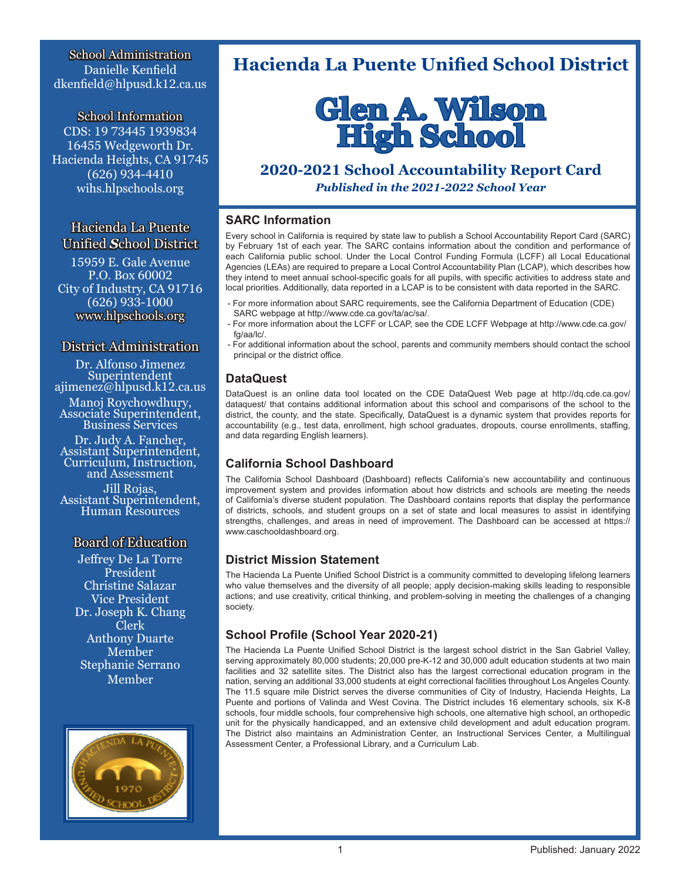School Administration Danielle Kenfield dkenfield@hlpusd.k12.ca.us

School Information CDS: 19 73445 1939834 16455 Wedgeworth Dr. Hacienda Heights, CA 91745 (626) 934-4410 wihs.hlpschools.org

Hacienda La Puente Unified *S*chool District

15959 E. Gale Avenue P.O. Box 60002 City of Industry, CA 91716 (626) 933-1000 www.hlpschools.org

### District Administration

Dr. Alfonso Jimenez Superintendent ajimenez@hlpusd.k12.ca.us

Manoj Roychowdhury, Associate Superintendent, Business Services

Dr. Judy A. Fancher, Assistant Superintendent, Curriculum, Instruction, and Assessment

Jill Rojas,<br>Assistant Superintendent,<br>Human Resources

### Board of Education

Jeffrey De La Torre President Christine Salazar Vice President Dr. Joseph K. Chang Clerk Anthony Duarte Member Stephanie Serrano Member



# **Hacienda La Puente Unified School District**



# **2020-2021 School Accountability Report Card**

*Published in the 2021-2022 School Year* 

### **SARC Information**

Every school in California is required by state law to publish a School Accountability Report Card (SARC) by February 1st of each year. The SARC contains information about the condition and performance of each California public school. Under the Local Control Funding Formula (LCFF) all Local Educational Agencies (LEAs) are required to prepare a Local Control Accountability Plan (LCAP), which describes how they intend to meet annual school-specific goals for all pupils, with specific activities to address state and local priorities. Additionally, data reported in a LCAP is to be consistent with data reported in the SARC.

- For more information about SARC requirements, see the California Department of Education (CDE) SARC webpage at http://www.cde.ca.gov/ta/ac/sa/.
- For more information about the LCFF or LCAP, see the CDE LCFF Webpage at http://www.cde.ca.gov/ fg/aa/lc/
- For additional information about the school, parents and community members should contact the school principal or the district office.

### **DataQuest**

DataQuest is an online data tool located on the CDE DataQuest Web page at http://dq.cde.ca.gov/ dataquest/ that contains additional information about this school and comparisons of the school to the district, the county, and the state. Specifically, DataQuest is a dynamic system that provides reports for accountability (e.g., test data, enrollment, high school graduates, dropouts, course enrollments, staffing, and data regarding English learners).

### **California School Dashboard**

The California School Dashboard (Dashboard) reflects California's new accountability and continuous improvement system and provides information about how districts and schools are meeting the needs of California's diverse student population. The Dashboard contains reports that display the performance of districts, schools, and student groups on a set of state and local measures to assist in identifying strengths, challenges, and areas in need of improvement. The Dashboard can be accessed at https:// www.caschooldashboard.org.

### **District Mission Statement**

The Hacienda La Puente Unified School District is a community committed to developing lifelong learners who value themselves and the diversity of all people; apply decision-making skills leading to responsible actions; and use creativity, critical thinking, and problem-solving in meeting the challenges of a changing society.

### **School Profile (School Year 2020-21)**

The Hacienda La Puente Unified School District is the largest school district in the San Gabriel Valley, serving approximately 80,000 students; 20,000 pre-K-12 and 30,000 adult education students at two main facilities and 32 satellite sites. The District also has the largest correctional education program in the nation, serving an additional 33,000 students at eight correctional facilities throughout Los Angeles County. The 11.5 square mile District serves the diverse communities of City of Industry, Hacienda Heights, La Puente and portions of Valinda and West Covina. The District includes 16 elementary schools, six K-8 schools, four middle schools, four comprehensive high schools, one alternative high school, an orthopedic unit for the physically handicapped, and an extensive child development and adult education program. The District also maintains an Administration Center, an Instructional Services Center, a Multilingual Assessment Center, a Professional Library, and a Curriculum Lab.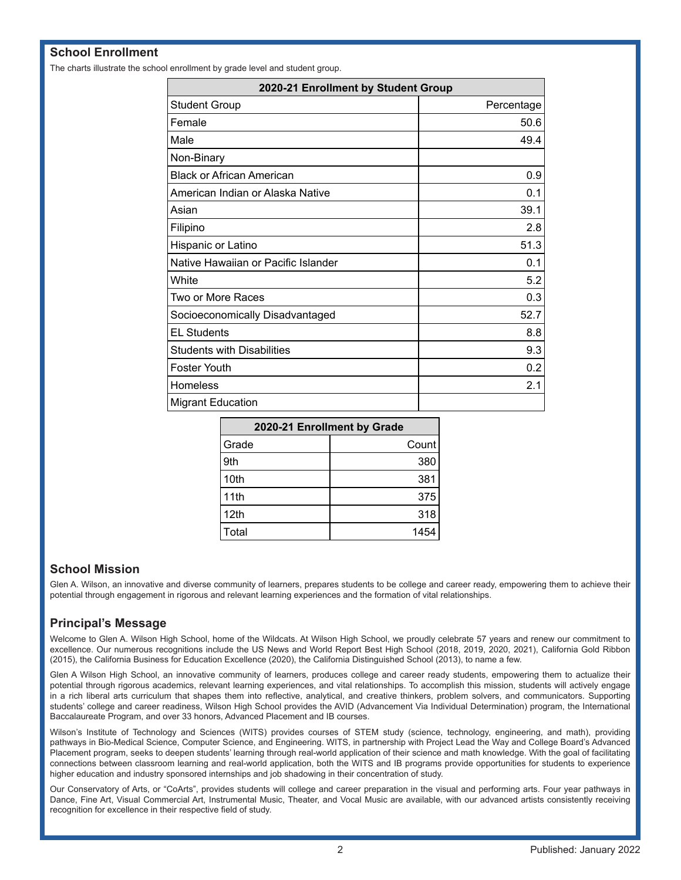### **School Enrollment**

The charts illustrate the school enrollment by grade level and student group.

| 2020-21 Enrollment by Student Group |            |  |  |  |
|-------------------------------------|------------|--|--|--|
| <b>Student Group</b>                | Percentage |  |  |  |
| Female                              | 50.6       |  |  |  |
| Male                                | 49.4       |  |  |  |
| Non-Binary                          |            |  |  |  |
| <b>Black or African American</b>    | 0.9        |  |  |  |
| American Indian or Alaska Native    | 0.1        |  |  |  |
| Asian                               | 39.1       |  |  |  |
| Filipino                            | 2.8        |  |  |  |
| Hispanic or Latino                  | 51.3       |  |  |  |
| Native Hawaiian or Pacific Islander | 0.1        |  |  |  |
| White                               | 5.2        |  |  |  |
| Two or More Races                   | 0.3        |  |  |  |
| Socioeconomically Disadvantaged     | 52.7       |  |  |  |
| <b>EL Students</b>                  | 8.8        |  |  |  |
| <b>Students with Disabilities</b>   | 9.3        |  |  |  |
| Foster Youth                        | 0.2        |  |  |  |
| Homeless                            | 2.1        |  |  |  |
| <b>Migrant Education</b>            |            |  |  |  |

| 2020-21 Enrollment by Grade |       |  |  |
|-----------------------------|-------|--|--|
| Grade                       | Count |  |  |
| 9th                         | 380   |  |  |
| 10th                        | 381   |  |  |
| 11th                        | 375   |  |  |
| 12 <sub>th</sub>            | 318   |  |  |
| Total                       | 1454  |  |  |

### **School Mission**

Glen A. Wilson, an innovative and diverse community of learners, prepares students to be college and career ready, empowering them to achieve their potential through engagement in rigorous and relevant learning experiences and the formation of vital relationships.

### **Principal's Message**

Welcome to Glen A. Wilson High School, home of the Wildcats. At Wilson High School, we proudly celebrate 57 years and renew our commitment to excellence. Our numerous recognitions include the US News and World Report Best High School (2018, 2019, 2020, 2021), California Gold Ribbon (2015), the California Business for Education Excellence (2020), the California Distinguished School (2013), to name a few.

Glen A Wilson High School, an innovative community of learners, produces college and career ready students, empowering them to actualize their potential through rigorous academics, relevant learning experiences, and vital relationships. To accomplish this mission, students will actively engage in a rich liberal arts curriculum that shapes them into reflective, analytical, and creative thinkers, problem solvers, and communicators. Supporting students' college and career readiness, Wilson High School provides the AVID (Advancement Via Individual Determination) program, the International Baccalaureate Program, and over 33 honors, Advanced Placement and IB courses.

Wilson's Institute of Technology and Sciences (WITS) provides courses of STEM study (science, technology, engineering, and math), providing pathways in Bio-Medical Science, Computer Science, and Engineering. WITS, in partnership with Project Lead the Way and College Board's Advanced Placement program, seeks to deepen students' learning through real-world application of their science and math knowledge. With the goal of facilitating connections between classroom learning and real-world application, both the WITS and IB programs provide opportunities for students to experience higher education and industry sponsored internships and job shadowing in their concentration of study.

Our Conservatory of Arts, or "CoArts", provides students will college and career preparation in the visual and performing arts. Four year pathways in Dance, Fine Art, Visual Commercial Art, Instrumental Music, Theater, and Vocal Music are available, with our advanced artists consistently receiving recognition for excellence in their respective field of study.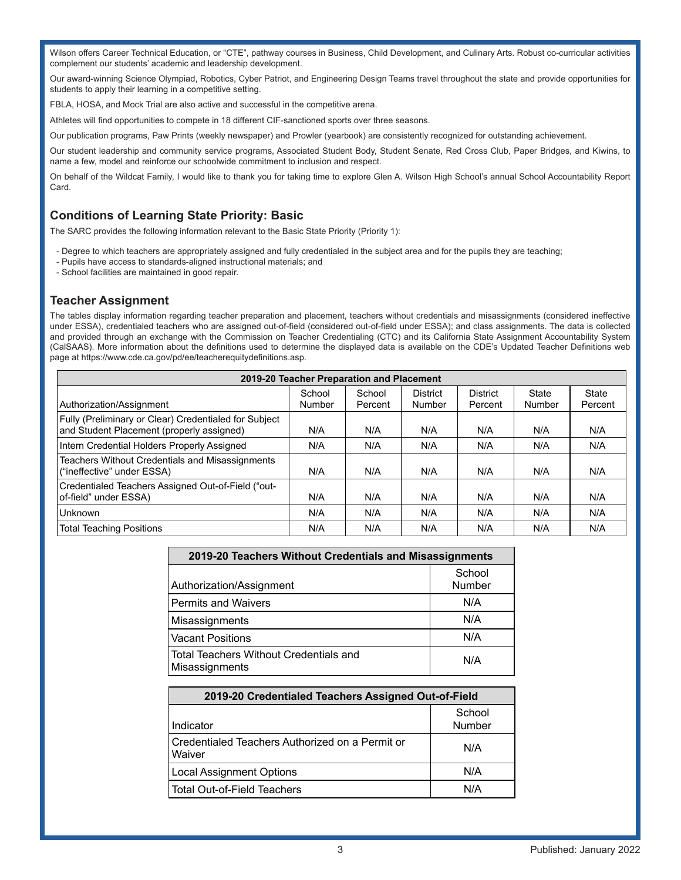Wilson offers Career Technical Education, or "CTE", pathway courses in Business, Child Development, and Culinary Arts. Robust co-curricular activities complement our students' academic and leadership development.

Our award-winning Science Olympiad, Robotics, Cyber Patriot, and Engineering Design Teams travel throughout the state and provide opportunities for students to apply their learning in a competitive setting.

FBLA, HOSA, and Mock Trial are also active and successful in the competitive arena.

Athletes will find opportunities to compete in 18 different CIF-sanctioned sports over three seasons.

Our publication programs, Paw Prints (weekly newspaper) and Prowler (yearbook) are consistently recognized for outstanding achievement.

Our student leadership and community service programs, Associated Student Body, Student Senate, Red Cross Club, Paper Bridges, and Kiwins, to name a few, model and reinforce our schoolwide commitment to inclusion and respect.

On behalf of the Wildcat Family, I would like to thank you for taking time to explore Glen A. Wilson High School's annual School Accountability Report Card.

### **Conditions of Learning State Priority: Basic**

The SARC provides the following information relevant to the Basic State Priority (Priority 1):

- Degree to which teachers are appropriately assigned and fully credentialed in the subject area and for the pupils they are teaching;
- Pupils have access to standards-aligned instructional materials; and
- School facilities are maintained in good repair.

### **Teacher Assignment**

The tables display information regarding teacher preparation and placement, teachers without credentials and misassignments (considered ineffective under ESSA), credentialed teachers who are assigned out-of-field (considered out-of-field under ESSA); and class assignments. The data is collected and provided through an exchange with the Commission on Teacher Credentialing (CTC) and its California State Assignment Accountability System (CalSAAS). More information about the definitions used to determine the displayed data is available on the CDE's Updated Teacher Definitions web page at https://www.cde.ca.gov/pd/ee/teacherequitydefinitions.asp.

| 2019-20 Teacher Preparation and Placement                                                          |        |         |                 |                 |        |         |  |  |  |
|----------------------------------------------------------------------------------------------------|--------|---------|-----------------|-----------------|--------|---------|--|--|--|
|                                                                                                    | School | School  | <b>District</b> | <b>District</b> | State  | State   |  |  |  |
| Authorization/Assignment                                                                           | Number | Percent | Number          | Percent         | Number | Percent |  |  |  |
| Fully (Preliminary or Clear) Credentialed for Subject<br>and Student Placement (properly assigned) | N/A    | N/A     | N/A             | N/A             | N/A    | N/A     |  |  |  |
| Intern Credential Holders Properly Assigned                                                        | N/A    | N/A     | N/A             | N/A             | N/A    | N/A     |  |  |  |
| Teachers Without Credentials and Misassignments<br>("ineffective" under ESSA)                      | N/A    | N/A     | N/A             | N/A             | N/A    | N/A     |  |  |  |
| Credentialed Teachers Assigned Out-of-Field ("out-<br>of-field" under ESSA)                        | N/A    | N/A     | N/A             | N/A             | N/A    | N/A     |  |  |  |
| Unknown                                                                                            | N/A    | N/A     | N/A             | N/A             | N/A    | N/A     |  |  |  |
| <b>Total Teaching Positions</b>                                                                    | N/A    | N/A     | N/A             | N/A             | N/A    | N/A     |  |  |  |

| 2019-20 Teachers Without Credentials and Misassignments  |                  |  |  |  |
|----------------------------------------------------------|------------------|--|--|--|
| Authorization/Assignment                                 | School<br>Number |  |  |  |
| <b>Permits and Waivers</b>                               | N/A              |  |  |  |
| Misassignments                                           | N/A              |  |  |  |
| <b>Vacant Positions</b>                                  | N/A              |  |  |  |
| Total Teachers Without Credentials and<br>Misassignments | N/A              |  |  |  |

| 2019-20 Credentialed Teachers Assigned Out-of-Field       |                  |  |  |  |  |
|-----------------------------------------------------------|------------------|--|--|--|--|
| Indicator                                                 | School<br>Number |  |  |  |  |
| Credentialed Teachers Authorized on a Permit or<br>Waiver | N/A              |  |  |  |  |
| <b>Local Assignment Options</b>                           | N/A              |  |  |  |  |
| <b>Total Out-of-Field Teachers</b>                        | N/A              |  |  |  |  |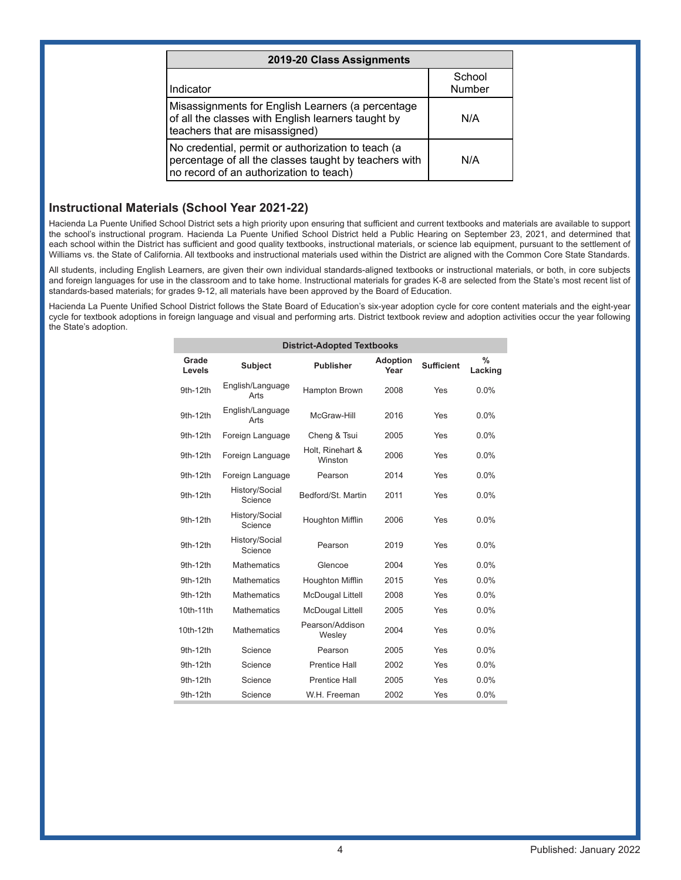| 2019-20 Class Assignments                                                                                                                              |                         |  |  |  |  |
|--------------------------------------------------------------------------------------------------------------------------------------------------------|-------------------------|--|--|--|--|
| Indicator                                                                                                                                              | School<br><b>Number</b> |  |  |  |  |
| Misassignments for English Learners (a percentage<br>of all the classes with English learners taught by<br>teachers that are misassigned)              | N/A                     |  |  |  |  |
| No credential, permit or authorization to teach (a<br>percentage of all the classes taught by teachers with<br>no record of an authorization to teach) | N/A                     |  |  |  |  |

### **Instructional Materials (School Year 2021-22)**

Hacienda La Puente Unified School District sets a high priority upon ensuring that sufficient and current textbooks and materials are available to support the school's instructional program. Hacienda La Puente Unified School District held a Public Hearing on September 23, 2021, and determined that each school within the District has sufficient and good quality textbooks, instructional materials, or science lab equipment, pursuant to the settlement of Williams vs. the State of California. All textbooks and instructional materials used within the District are aligned with the Common Core State Standards.

All students, including English Learners, are given their own individual standards-aligned textbooks or instructional materials, or both, in core subjects and foreign languages for use in the classroom and to take home. Instructional materials for grades K-8 are selected from the State's most recent list of standards-based materials; for grades 9-12, all materials have been approved by the Board of Education.

Hacienda La Puente Unified School District follows the State Board of Education's six-year adoption cycle for core content materials and the eight-year cycle for textbook adoptions in foreign language and visual and performing arts. District textbook review and adoption activities occur the year following the State's adoption.

| <b>District-Adopted Textbooks</b> |                           |                             |                         |                   |                 |  |  |  |
|-----------------------------------|---------------------------|-----------------------------|-------------------------|-------------------|-----------------|--|--|--|
| Grade<br>Levels                   | <b>Subject</b>            | <b>Publisher</b>            | <b>Adoption</b><br>Year | <b>Sufficient</b> | $\%$<br>Lacking |  |  |  |
| 9th-12th                          | English/Language<br>Arts  | <b>Hampton Brown</b>        | 2008                    | Yes               | $0.0\%$         |  |  |  |
| 9th-12th                          | English/Language<br>Arts  | McGraw-Hill                 | 2016                    | Yes               | 0.0%            |  |  |  |
| 9th-12th                          | Foreign Language          | Cheng & Tsui                | 2005                    | Yes               | $0.0\%$         |  |  |  |
| 9th-12th                          | Foreign Language          | Holt, Rinehart &<br>Winston | 2006                    | Yes               | 0.0%            |  |  |  |
| 9th-12th                          | Foreign Language          | Pearson                     | 2014                    | Yes               | 0.0%            |  |  |  |
| 9th-12th                          | History/Social<br>Science | Bedford/St. Martin          | 2011                    | Yes               | 0.0%            |  |  |  |
| 9th-12th                          | History/Social<br>Science | Houghton Mifflin            | 2006                    | Yes               | $0.0\%$         |  |  |  |
| 9th-12th                          | History/Social<br>Science | Pearson                     | 2019                    | Yes               | 0.0%            |  |  |  |
| 9th-12th                          | <b>Mathematics</b>        | Glencoe                     | 2004                    | Yes               | 0.0%            |  |  |  |
| 9th-12th                          | <b>Mathematics</b>        | Houghton Mifflin            | 2015                    | Yes               | 0.0%            |  |  |  |
| 9th-12th                          | <b>Mathematics</b>        | <b>McDougal Littell</b>     | 2008                    | Yes               | 0.0%            |  |  |  |
| 10th-11th                         | <b>Mathematics</b>        | <b>McDougal Littell</b>     | 2005                    | Yes               | 0.0%            |  |  |  |
| 10th-12th                         | <b>Mathematics</b>        | Pearson/Addison<br>Wesley   | 2004                    | Yes               | 0.0%            |  |  |  |
| 9th-12th                          | Science                   | Pearson                     | 2005                    | Yes               | 0.0%            |  |  |  |
| 9th-12th                          | Science                   | Prentice Hall               | 2002                    | Yes               | 0.0%            |  |  |  |
| 9th-12th                          | Science                   | <b>Prentice Hall</b>        | 2005                    | Yes               | 0.0%            |  |  |  |
| 9th-12th                          | Science                   | W.H. Freeman                | 2002                    | Yes               | 0.0%            |  |  |  |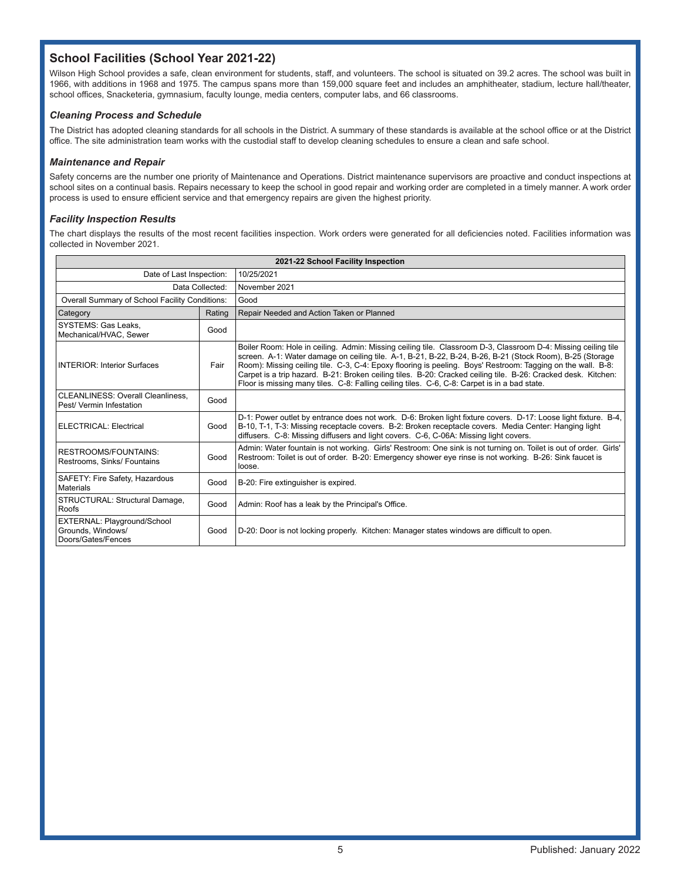# **School Facilities (School Year 2021-22)**

Wilson High School provides a safe, clean environment for students, staff, and volunteers. The school is situated on 39.2 acres. The school was built in 1966, with additions in 1968 and 1975. The campus spans more than 159,000 square feet and includes an amphitheater, stadium, lecture hall/theater, school offices, Snacketeria, gymnasium, faculty lounge, media centers, computer labs, and 66 classrooms.

#### *Cleaning Process and Schedule*

The District has adopted cleaning standards for all schools in the District. A summary of these standards is available at the school office or at the District office. The site administration team works with the custodial staff to develop cleaning schedules to ensure a clean and safe school.

#### *Maintenance and Repair*

Safety concerns are the number one priority of Maintenance and Operations. District maintenance supervisors are proactive and conduct inspections at school sites on a continual basis. Repairs necessary to keep the school in good repair and working order are completed in a timely manner. A work order process is used to ensure efficient service and that emergency repairs are given the highest priority.

#### *Facility Inspection Results*

The chart displays the results of the most recent facilities inspection. Work orders were generated for all deficiencies noted. Facilities information was collected in November 2021.

| 2021-22 School Facility Inspection                                     |        |                                                                                                                                                                                                                                                                                                                                                                                                                                                                                                                                                           |  |  |  |
|------------------------------------------------------------------------|--------|-----------------------------------------------------------------------------------------------------------------------------------------------------------------------------------------------------------------------------------------------------------------------------------------------------------------------------------------------------------------------------------------------------------------------------------------------------------------------------------------------------------------------------------------------------------|--|--|--|
| Date of Last Inspection:                                               |        | 10/25/2021                                                                                                                                                                                                                                                                                                                                                                                                                                                                                                                                                |  |  |  |
| Data Collected:                                                        |        | November 2021                                                                                                                                                                                                                                                                                                                                                                                                                                                                                                                                             |  |  |  |
| Overall Summary of School Facility Conditions:                         |        | Good                                                                                                                                                                                                                                                                                                                                                                                                                                                                                                                                                      |  |  |  |
| Category                                                               | Rating | Repair Needed and Action Taken or Planned                                                                                                                                                                                                                                                                                                                                                                                                                                                                                                                 |  |  |  |
| SYSTEMS: Gas Leaks.<br>Mechanical/HVAC, Sewer                          | Good   |                                                                                                                                                                                                                                                                                                                                                                                                                                                                                                                                                           |  |  |  |
| <b>INTERIOR: Interior Surfaces</b>                                     | Fair   | Boiler Room: Hole in ceiling. Admin: Missing ceiling tile. Classroom D-3, Classroom D-4: Missing ceiling tile<br>screen. A-1: Water damage on ceiling tile. A-1, B-21, B-22, B-24, B-26, B-21 (Stock Room), B-25 (Storage<br>Room): Missing ceiling tile. C-3, C-4: Epoxy flooring is peeling. Boys' Restroom: Tagging on the wall. B-8:<br>Carpet is a trip hazard. B-21: Broken ceiling tiles. B-20: Cracked ceiling tile. B-26: Cracked desk. Kitchen:<br>Floor is missing many tiles. C-8: Falling ceiling tiles. C-6, C-8: Carpet is in a bad state. |  |  |  |
| CLEANLINESS: Overall Cleanliness.<br>Pest/Vermin Infestation           | Good   |                                                                                                                                                                                                                                                                                                                                                                                                                                                                                                                                                           |  |  |  |
| ELECTRICAL: Electrical                                                 | Good   | D-1: Power outlet by entrance does not work. D-6: Broken light fixture covers. D-17: Loose light fixture. B-4,<br>B-10, T-1, T-3: Missing receptacle covers. B-2: Broken receptacle covers. Media Center: Hanging light<br>diffusers. C-8: Missing diffusers and light covers. C-6, C-06A: Missing light covers.                                                                                                                                                                                                                                          |  |  |  |
| RESTROOMS/FOUNTAINS:<br>Restrooms, Sinks/ Fountains                    | Good   | Admin: Water fountain is not working. Girls' Restroom: One sink is not turning on. Toilet is out of order. Girls'<br>Restroom: Toilet is out of order. B-20: Emergency shower eye rinse is not working. B-26: Sink faucet is<br>loose.                                                                                                                                                                                                                                                                                                                    |  |  |  |
| SAFETY: Fire Safety, Hazardous<br>Materials                            | Good   | B-20: Fire extinguisher is expired.                                                                                                                                                                                                                                                                                                                                                                                                                                                                                                                       |  |  |  |
| STRUCTURAL: Structural Damage,<br>Roofs                                | Good   | Admin: Roof has a leak by the Principal's Office.                                                                                                                                                                                                                                                                                                                                                                                                                                                                                                         |  |  |  |
| EXTERNAL: Playground/School<br>Grounds, Windows/<br>Doors/Gates/Fences | Good   | D-20: Door is not locking properly. Kitchen: Manager states windows are difficult to open.                                                                                                                                                                                                                                                                                                                                                                                                                                                                |  |  |  |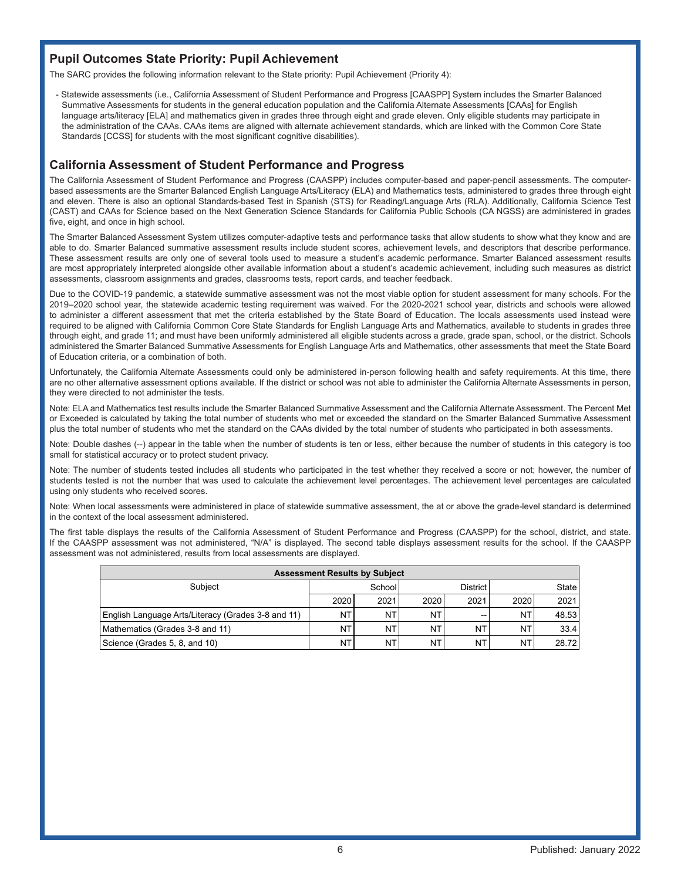# **Pupil Outcomes State Priority: Pupil Achievement**

The SARC provides the following information relevant to the State priority: Pupil Achievement (Priority 4):

- Statewide assessments (i.e., California Assessment of Student Performance and Progress [CAASPP] System includes the Smarter Balanced Summative Assessments for students in the general education population and the California Alternate Assessments [CAAs] for English language arts/literacy [ELA] and mathematics given in grades three through eight and grade eleven. Only eligible students may participate in the administration of the CAAs. CAAs items are aligned with alternate achievement standards, which are linked with the Common Core State Standards [CCSS] for students with the most significant cognitive disabilities).

### **California Assessment of Student Performance and Progress**

The California Assessment of Student Performance and Progress (CAASPP) includes computer-based and paper-pencil assessments. The computerbased assessments are the Smarter Balanced English Language Arts/Literacy (ELA) and Mathematics tests, administered to grades three through eight and eleven. There is also an optional Standards-based Test in Spanish (STS) for Reading/Language Arts (RLA). Additionally, California Science Test (CAST) and CAAs for Science based on the Next Generation Science Standards for California Public Schools (CA NGSS) are administered in grades five, eight, and once in high school.

The Smarter Balanced Assessment System utilizes computer-adaptive tests and performance tasks that allow students to show what they know and are able to do. Smarter Balanced summative assessment results include student scores, achievement levels, and descriptors that describe performance. These assessment results are only one of several tools used to measure a student's academic performance. Smarter Balanced assessment results are most appropriately interpreted alongside other available information about a student's academic achievement, including such measures as district assessments, classroom assignments and grades, classrooms tests, report cards, and teacher feedback.

Due to the COVID-19 pandemic, a statewide summative assessment was not the most viable option for student assessment for many schools. For the 2019–2020 school year, the statewide academic testing requirement was waived. For the 2020-2021 school year, districts and schools were allowed to administer a different assessment that met the criteria established by the State Board of Education. The locals assessments used instead were required to be aligned with California Common Core State Standards for English Language Arts and Mathematics, available to students in grades three through eight, and grade 11; and must have been uniformly administered all eligible students across a grade, grade span, school, or the district. Schools administered the Smarter Balanced Summative Assessments for English Language Arts and Mathematics, other assessments that meet the State Board of Education criteria, or a combination of both.

Unfortunately, the California Alternate Assessments could only be administered in-person following health and safety requirements. At this time, there are no other alternative assessment options available. If the district or school was not able to administer the California Alternate Assessments in person, they were directed to not administer the tests.

Note: ELA and Mathematics test results include the Smarter Balanced Summative Assessment and the California Alternate Assessment. The Percent Met or Exceeded is calculated by taking the total number of students who met or exceeded the standard on the Smarter Balanced Summative Assessment plus the total number of students who met the standard on the CAAs divided by the total number of students who participated in both assessments.

Note: Double dashes (--) appear in the table when the number of students is ten or less, either because the number of students in this category is too small for statistical accuracy or to protect student privacy.

Note: The number of students tested includes all students who participated in the test whether they received a score or not; however, the number of students tested is not the number that was used to calculate the achievement level percentages. The achievement level percentages are calculated using only students who received scores.

Note: When local assessments were administered in place of statewide summative assessment, the at or above the grade-level standard is determined in the context of the local assessment administered.

The first table displays the results of the California Assessment of Student Performance and Progress (CAASPP) for the school, district, and state. If the CAASPP assessment was not administered, "N/A" is displayed. The second table displays assessment results for the school. If the CAASPP assessment was not administered, results from local assessments are displayed.

| <b>Assessment Results by Subject</b>               |           |                                      |           |       |      |       |
|----------------------------------------------------|-----------|--------------------------------------|-----------|-------|------|-------|
| Subiect                                            |           | District I<br><b>State</b><br>School |           |       |      |       |
|                                                    | 2020      | 2021                                 | 2020      | 2021  | 2020 | 2021  |
| English Language Arts/Literacy (Grades 3-8 and 11) | NT        | NΤ                                   | NT        | $- -$ | NT   | 48.53 |
| Mathematics (Grades 3-8 and 11)                    | <b>NT</b> | NT                                   | NT        | NΤ    | NT   | 33.4  |
| Science (Grades 5, 8, and 10)                      | <b>NT</b> | NT                                   | <b>NT</b> | NΤ    | NΤ   | 28.72 |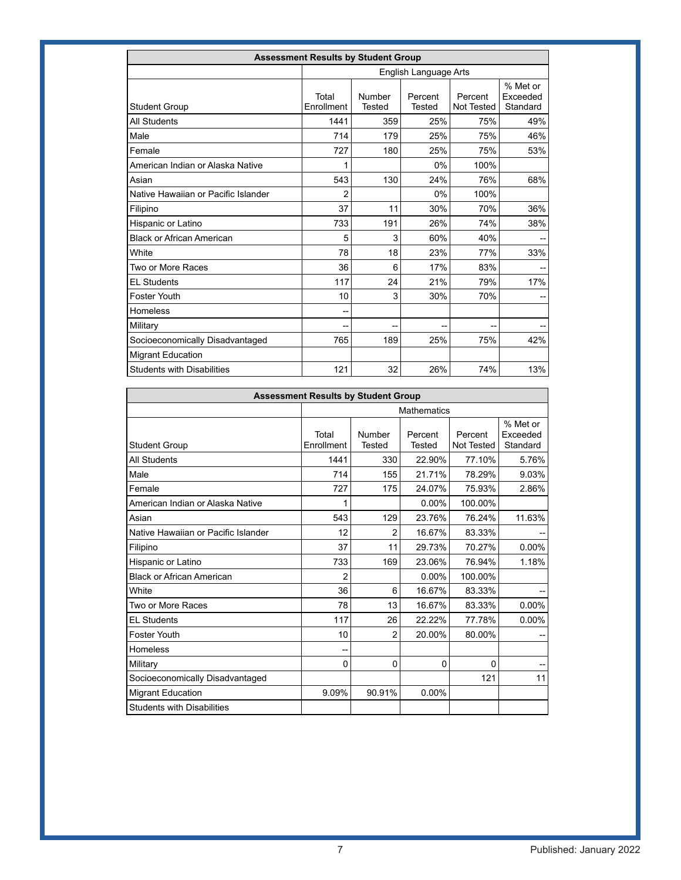| <b>Assessment Results by Student Group</b> |                     |                         |                          |                       |                                  |  |  |
|--------------------------------------------|---------------------|-------------------------|--------------------------|-----------------------|----------------------------------|--|--|
|                                            |                     | English Language Arts   |                          |                       |                                  |  |  |
| <b>Student Group</b>                       | Total<br>Enrollment | Number<br><b>Tested</b> | Percent<br><b>Tested</b> | Percent<br>Not Tested | % Met or<br>Exceeded<br>Standard |  |  |
| <b>All Students</b>                        | 1441                | 359                     | 25%                      | 75%                   | 49%                              |  |  |
| Male                                       | 714                 | 179                     | 25%                      | 75%                   | 46%                              |  |  |
| Female                                     | 727                 | 180                     | 25%                      | 75%                   | 53%                              |  |  |
| American Indian or Alaska Native           |                     |                         | 0%                       | 100%                  |                                  |  |  |
| Asian                                      | 543                 | 130                     | 24%                      | 76%                   | 68%                              |  |  |
| Native Hawaiian or Pacific Islander        | 2                   |                         | 0%                       | 100%                  |                                  |  |  |
| Filipino                                   | 37                  | 11                      | 30%                      | 70%                   | 36%                              |  |  |
| Hispanic or Latino                         | 733                 | 191                     | 26%                      | 74%                   | 38%                              |  |  |
| <b>Black or African American</b>           | 5                   | 3                       | 60%                      | 40%                   |                                  |  |  |
| White                                      | 78                  | 18                      | 23%                      | 77%                   | 33%                              |  |  |
| Two or More Races                          | 36                  | 6                       | 17%                      | 83%                   |                                  |  |  |
| <b>EL Students</b>                         | 117                 | 24                      | 21%                      | 79%                   | 17%                              |  |  |
| Foster Youth                               | 10                  | 3                       | 30%                      | 70%                   | --                               |  |  |
| <b>Homeless</b>                            | --                  |                         |                          |                       |                                  |  |  |
| Military                                   | --                  | --                      | --                       | --                    |                                  |  |  |
| Socioeconomically Disadvantaged            | 765                 | 189                     | 25%                      | 75%                   | 42%                              |  |  |
| <b>Migrant Education</b>                   |                     |                         |                          |                       |                                  |  |  |
| <b>Students with Disabilities</b>          | 121                 | 32                      | 26%                      | 74%                   | 13%                              |  |  |

| <b>Assessment Results by Student Group</b> |                     |                    |                   |                       |                                  |  |  |
|--------------------------------------------|---------------------|--------------------|-------------------|-----------------------|----------------------------------|--|--|
|                                            |                     | <b>Mathematics</b> |                   |                       |                                  |  |  |
| <b>Student Group</b>                       | Total<br>Enrollment | Number<br>Tested   | Percent<br>Tested | Percent<br>Not Tested | % Met or<br>Exceeded<br>Standard |  |  |
| <b>All Students</b>                        | 1441                | 330                | 22.90%            | 77.10%                | 5.76%                            |  |  |
| Male                                       | 714                 | 155                | 21.71%            | 78.29%                | 9.03%                            |  |  |
| Female                                     | 727                 | 175                | 24.07%            | 75.93%                | 2.86%                            |  |  |
| American Indian or Alaska Native           |                     |                    | $0.00\%$          | 100.00%               |                                  |  |  |
| Asian                                      | 543                 | 129                | 23.76%            | 76.24%                | 11.63%                           |  |  |
| Native Hawaiian or Pacific Islander        | 12                  | 2                  | 16.67%            | 83.33%                |                                  |  |  |
| Filipino                                   | 37                  | 11                 | 29.73%            | 70.27%                | 0.00%                            |  |  |
| Hispanic or Latino                         | 733                 | 169                | 23.06%            | 76.94%                | 1.18%                            |  |  |
| <b>Black or African American</b>           | 2                   |                    | 0.00%             | 100.00%               |                                  |  |  |
| White                                      | 36                  | 6                  | 16.67%            | 83.33%                |                                  |  |  |
| Two or More Races                          | 78                  | 13                 | 16.67%            | 83.33%                | 0.00%                            |  |  |
| <b>EL Students</b>                         | 117                 | 26                 | 22.22%            | 77.78%                | 0.00%                            |  |  |
| Foster Youth                               | 10                  | 2                  | 20.00%            | 80.00%                |                                  |  |  |
| Homeless                                   | --                  |                    |                   |                       |                                  |  |  |
| Military                                   | 0                   | 0                  | $\Omega$          | 0                     | --                               |  |  |
| Socioeconomically Disadvantaged            |                     |                    |                   | 121                   | 11                               |  |  |
| <b>Migrant Education</b>                   | 9.09%               | 90.91%             | 0.00%             |                       |                                  |  |  |
| <b>Students with Disabilities</b>          |                     |                    |                   |                       |                                  |  |  |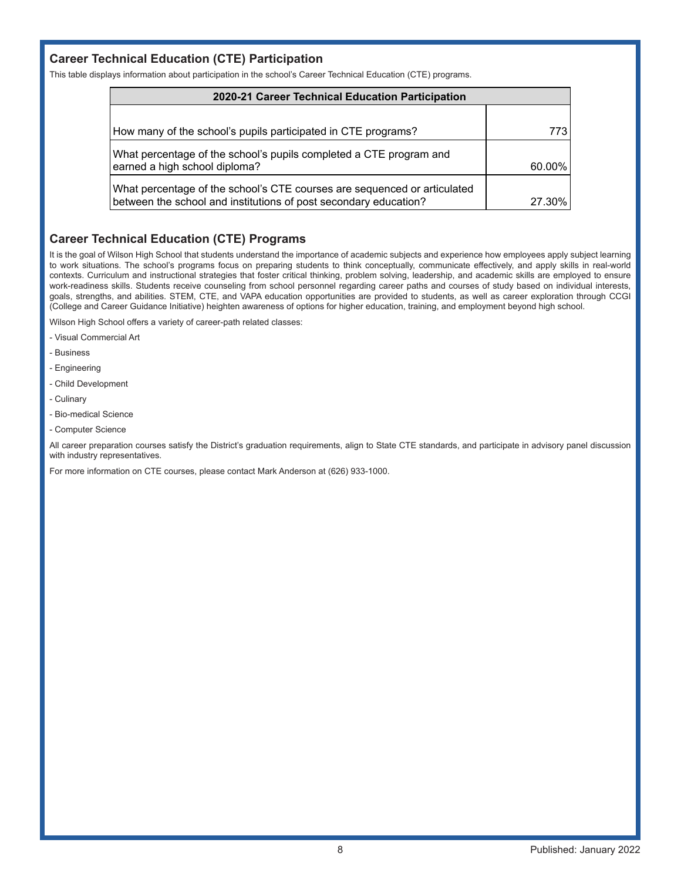## **Career Technical Education (CTE) Participation**

This table displays information about participation in the school's Career Technical Education (CTE) programs.

| 2020-21 Career Technical Education Participation                                                                                             |        |  |  |  |
|----------------------------------------------------------------------------------------------------------------------------------------------|--------|--|--|--|
|                                                                                                                                              |        |  |  |  |
| How many of the school's pupils participated in CTE programs?                                                                                | 773    |  |  |  |
| What percentage of the school's pupils completed a CTE program and<br>earned a high school diploma?                                          | 60.00% |  |  |  |
| What percentage of the school's CTE courses are sequenced or articulated<br>between the school and institutions of post secondary education? | 27.30% |  |  |  |

# **Career Technical Education (CTE) Programs**

It is the goal of Wilson High School that students understand the importance of academic subjects and experience how employees apply subject learning to work situations. The school's programs focus on preparing students to think conceptually, communicate effectively, and apply skills in real-world contexts. Curriculum and instructional strategies that foster critical thinking, problem solving, leadership, and academic skills are employed to ensure work-readiness skills. Students receive counseling from school personnel regarding career paths and courses of study based on individual interests, goals, strengths, and abilities. STEM, CTE, and VAPA education opportunities are provided to students, as well as career exploration through CCGI (College and Career Guidance Initiative) heighten awareness of options for higher education, training, and employment beyond high school.

Wilson High School offers a variety of career-path related classes:

- Visual Commercial Art
- Business
- Engineering
- Child Development
- Culinary
- Bio-medical Science
- Computer Science

All career preparation courses satisfy the District's graduation requirements, align to State CTE standards, and participate in advisory panel discussion with industry representatives.

For more information on CTE courses, please contact Mark Anderson at (626) 933-1000.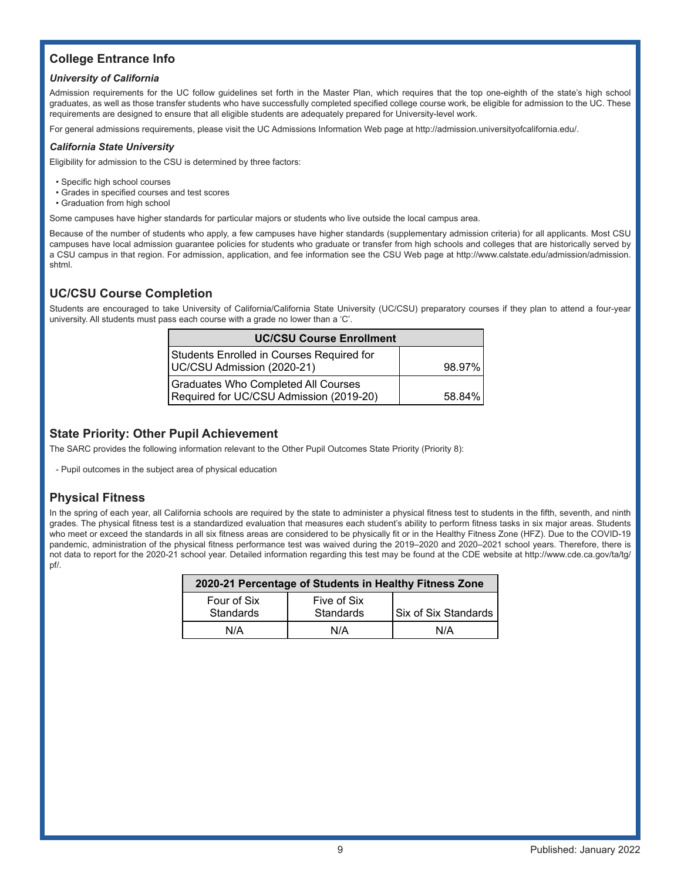# **College Entrance Info**

#### *University of California*

Admission requirements for the UC follow guidelines set forth in the Master Plan, which requires that the top one-eighth of the state's high school graduates, as well as those transfer students who have successfully completed specified college course work, be eligible for admission to the UC. These requirements are designed to ensure that all eligible students are adequately prepared for University-level work.

For general admissions requirements, please visit the UC Admissions Information Web page at http://admission.universityofcalifornia.edu/.

#### *California State University*

Eligibility for admission to the CSU is determined by three factors:

- Specific high school courses
- Grades in specified courses and test scores
- Graduation from high school

Some campuses have higher standards for particular majors or students who live outside the local campus area.

Because of the number of students who apply, a few campuses have higher standards (supplementary admission criteria) for all applicants. Most CSU campuses have local admission guarantee policies for students who graduate or transfer from high schools and colleges that are historically served by a CSU campus in that region. For admission, application, and fee information see the CSU Web page at http://www.calstate.edu/admission/admission. shtml.

### **UC/CSU Course Completion**

Students are encouraged to take University of California/California State University (UC/CSU) preparatory courses if they plan to attend a four-year university. All students must pass each course with a grade no lower than a 'C'.

| <b>UC/CSU Course Enrollment</b>                                                |        |
|--------------------------------------------------------------------------------|--------|
| Students Enrolled in Courses Required for<br>UC/CSU Admission (2020-21)        | 98.97% |
| Graduates Who Completed All Courses<br>Required for UC/CSU Admission (2019-20) | 58.84% |

# **State Priority: Other Pupil Achievement**

The SARC provides the following information relevant to the Other Pupil Outcomes State Priority (Priority 8):

- Pupil outcomes in the subject area of physical education

# **Physical Fitness**

In the spring of each year, all California schools are required by the state to administer a physical fitness test to students in the fifth, seventh, and ninth grades. The physical fitness test is a standardized evaluation that measures each student's ability to perform fitness tasks in six major areas. Students who meet or exceed the standards in all six fitness areas are considered to be physically fit or in the Healthy Fitness Zone (HFZ). Due to the COVID-19 pandemic, administration of the physical fitness performance test was waived during the 2019–2020 and 2020–2021 school years. Therefore, there is not data to report for the 2020-21 school year. Detailed information regarding this test may be found at the CDE website at http://www.cde.ca.gov/ta/tg/ pf/.

| 2020-21 Percentage of Students in Healthy Fitness Zone |                          |                      |  |  |  |  |
|--------------------------------------------------------|--------------------------|----------------------|--|--|--|--|
| Four of Six<br>Standards                               | Five of Six<br>Standards | Six of Six Standards |  |  |  |  |
| N/A                                                    | N/A                      | N/A                  |  |  |  |  |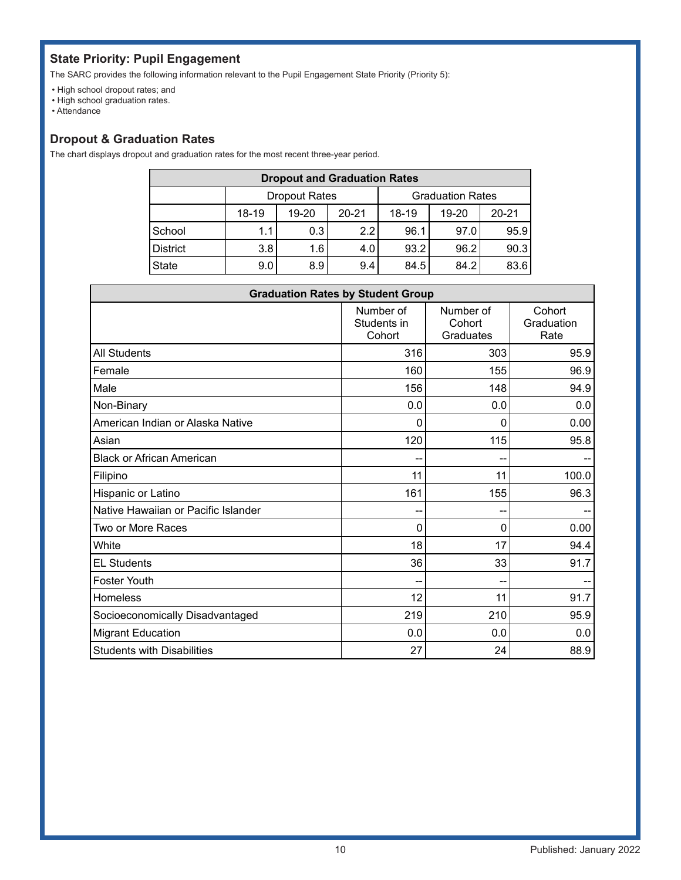# **State Priority: Pupil Engagement**

The SARC provides the following information relevant to the Pupil Engagement State Priority (Priority 5):

- High school dropout rates; and
- High school graduation rates.
- Attendance

### **Dropout & Graduation Rates**

The chart displays dropout and graduation rates for the most recent three-year period.

| <b>Dropout and Graduation Rates</b> |                                                 |       |           |           |       |           |  |  |
|-------------------------------------|-------------------------------------------------|-------|-----------|-----------|-------|-----------|--|--|
|                                     | <b>Graduation Rates</b><br><b>Dropout Rates</b> |       |           |           |       |           |  |  |
|                                     | 18-19                                           | 19-20 | $20 - 21$ | $18 - 19$ | 19-20 | $20 - 21$ |  |  |
| School                              | 1.1                                             | 0.3   | 2.2       | 96.1      | 97.0  | 95.9      |  |  |
| <b>District</b>                     | 3.8                                             | 1.6   | 4.0       | 93.2      | 96.2  | 90.3      |  |  |
| State                               | 9.0                                             | 8.9   | 9.4       | 84.5      | 84.2  | 83.6      |  |  |

| <b>Graduation Rates by Student Group</b> |                                    |                                  |                              |  |  |
|------------------------------------------|------------------------------------|----------------------------------|------------------------------|--|--|
|                                          | Number of<br>Students in<br>Cohort | Number of<br>Cohort<br>Graduates | Cohort<br>Graduation<br>Rate |  |  |
| <b>All Students</b>                      | 316                                | 303                              | 95.9                         |  |  |
| Female                                   | 160                                | 155                              | 96.9                         |  |  |
| Male                                     | 156                                | 148                              | 94.9                         |  |  |
| Non-Binary                               | 0.0                                | 0.0                              | 0.0                          |  |  |
| American Indian or Alaska Native         | 0                                  | 0                                | 0.00                         |  |  |
| Asian                                    | 120                                | 115                              | 95.8                         |  |  |
| <b>Black or African American</b>         |                                    | --                               |                              |  |  |
| Filipino                                 | 11                                 | 11                               | 100.0                        |  |  |
| Hispanic or Latino                       | 161                                | 155                              | 96.3                         |  |  |
| Native Hawaiian or Pacific Islander      | --                                 | --                               |                              |  |  |
| Two or More Races                        | 0                                  | 0                                | 0.00                         |  |  |
| White                                    | 18                                 | 17                               | 94.4                         |  |  |
| <b>EL Students</b>                       | 36                                 | 33                               | 91.7                         |  |  |
| <b>Foster Youth</b>                      | --                                 |                                  |                              |  |  |
| Homeless                                 | 12                                 | 11                               | 91.7                         |  |  |
| Socioeconomically Disadvantaged          | 219                                | 210                              | 95.9                         |  |  |
| <b>Migrant Education</b>                 | 0.0                                | 0.0                              | 0.0                          |  |  |
| <b>Students with Disabilities</b>        | 27                                 | 24                               | 88.9                         |  |  |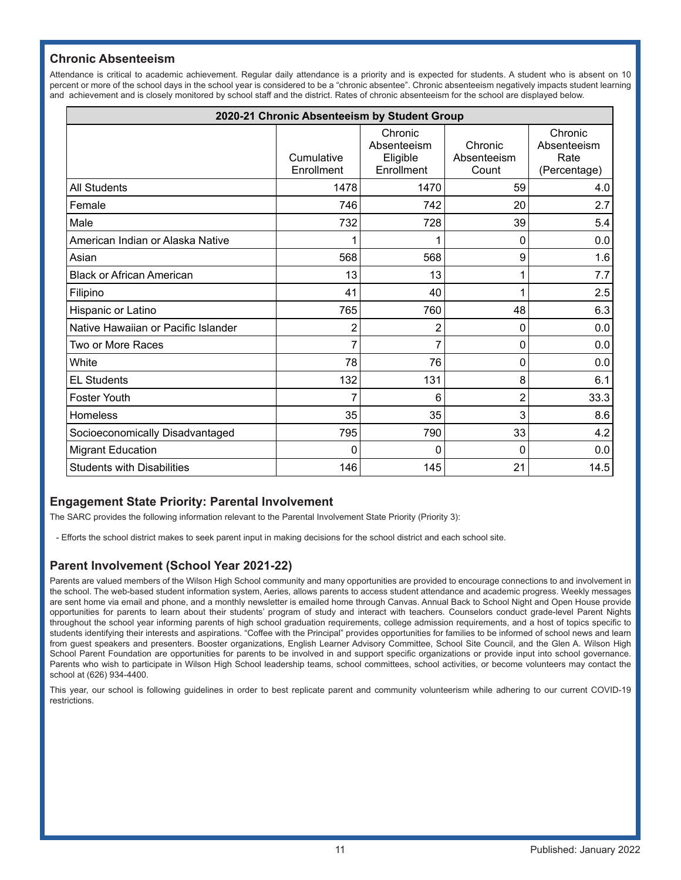# **Chronic Absenteeism**

Attendance is critical to academic achievement. Regular daily attendance is a priority and is expected for students. A student who is absent on 10 percent or more of the school days in the school year is considered to be a "chronic absentee". Chronic absenteeism negatively impacts student learning and achievement and is closely monitored by school staff and the district. Rates of chronic absenteeism for the school are displayed below.

| 2020-21 Chronic Absenteeism by Student Group |                          |                                                  |                                 |                                                |  |  |
|----------------------------------------------|--------------------------|--------------------------------------------------|---------------------------------|------------------------------------------------|--|--|
|                                              | Cumulative<br>Enrollment | Chronic<br>Absenteeism<br>Eligible<br>Enrollment | Chronic<br>Absenteeism<br>Count | Chronic<br>Absenteeism<br>Rate<br>(Percentage) |  |  |
| <b>All Students</b>                          | 1478                     | 1470                                             | 59                              | 4.0                                            |  |  |
| Female                                       | 746                      | 742                                              | 20                              | 2.7                                            |  |  |
| Male                                         | 732                      | 728                                              | 39                              | 5.4                                            |  |  |
| American Indian or Alaska Native             |                          |                                                  | 0                               | 0.0                                            |  |  |
| Asian                                        | 568                      | 568                                              | 9                               | 1.6                                            |  |  |
| <b>Black or African American</b>             | 13                       | 13                                               | 1                               | 7.7                                            |  |  |
| Filipino                                     | 41                       | 40                                               | 1                               | 2.5                                            |  |  |
| Hispanic or Latino                           | 765                      | 760                                              | 48                              | 6.3                                            |  |  |
| Native Hawaiian or Pacific Islander          | 2                        | $\overline{c}$                                   | 0                               | 0.0                                            |  |  |
| Two or More Races                            |                          | 7                                                | 0                               | 0.0                                            |  |  |
| White                                        | 78                       | 76                                               | 0                               | 0.0                                            |  |  |
| <b>EL Students</b>                           | 132                      | 131                                              | 8                               | 6.1                                            |  |  |
| <b>Foster Youth</b>                          |                          | 6                                                | $\overline{c}$                  | 33.3                                           |  |  |
| Homeless                                     | 35                       | 35                                               | 3                               | 8.6                                            |  |  |
| Socioeconomically Disadvantaged              | 795                      | 790                                              | 33                              | 4.2                                            |  |  |
| <b>Migrant Education</b>                     | 0                        | 0                                                | 0                               | 0.0                                            |  |  |
| <b>Students with Disabilities</b>            | 146                      | 145                                              | 21                              | 14.5                                           |  |  |

# **Engagement State Priority: Parental Involvement**

The SARC provides the following information relevant to the Parental Involvement State Priority (Priority 3):

- Efforts the school district makes to seek parent input in making decisions for the school district and each school site.

# **Parent Involvement (School Year 2021-22)**

Parents are valued members of the Wilson High School community and many opportunities are provided to encourage connections to and involvement in the school. The web-based student information system, Aeries, allows parents to access student attendance and academic progress. Weekly messages are sent home via email and phone, and a monthly newsletter is emailed home through Canvas. Annual Back to School Night and Open House provide opportunities for parents to learn about their students' program of study and interact with teachers. Counselors conduct grade-level Parent Nights throughout the school year informing parents of high school graduation requirements, college admission requirements, and a host of topics specific to students identifying their interests and aspirations. "Coffee with the Principal" provides opportunities for families to be informed of school news and learn from guest speakers and presenters. Booster organizations, English Learner Advisory Committee, School Site Council, and the Glen A. Wilson High School Parent Foundation are opportunities for parents to be involved in and support specific organizations or provide input into school governance. Parents who wish to participate in Wilson High School leadership teams, school committees, school activities, or become volunteers may contact the school at (626) 934-4400.

This year, our school is following guidelines in order to best replicate parent and community volunteerism while adhering to our current COVID-19 restrictions.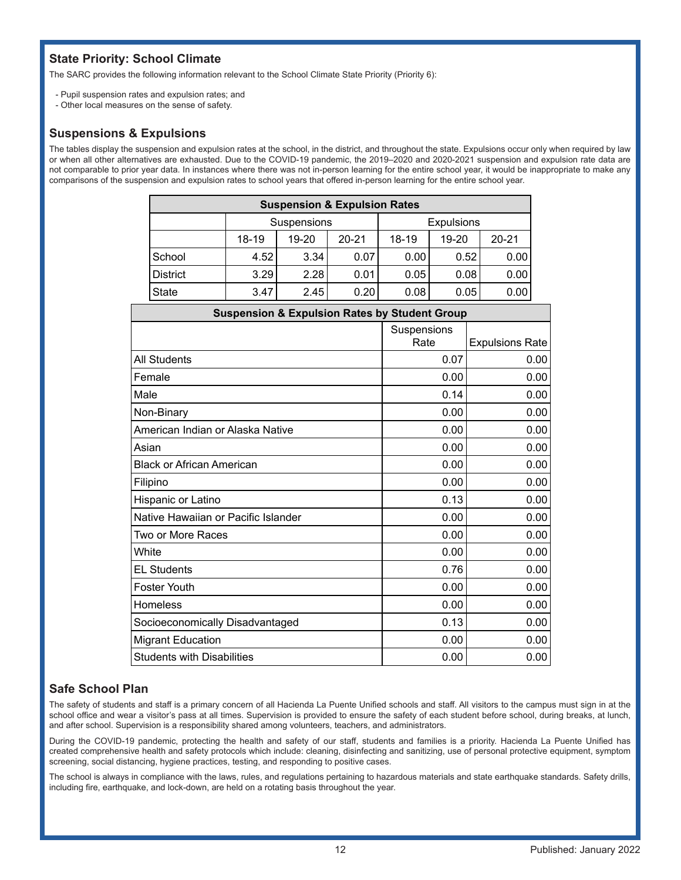# **State Priority: School Climate**

The SARC provides the following information relevant to the School Climate State Priority (Priority 6):

- Pupil suspension rates and expulsion rates; and
- Other local measures on the sense of safety.

### **Suspensions & Expulsions**

The tables display the suspension and expulsion rates at the school, in the district, and throughout the state. Expulsions occur only when required by law or when all other alternatives are exhausted. Due to the COVID-19 pandemic, the 2019–2020 and 2020-2021 suspension and expulsion rate data are not comparable to prior year data. In instances where there was not in-person learning for the entire school year, it would be inappropriate to make any comparisons of the suspension and expulsion rates to school years that offered in-person learning for the entire school year.

| <b>Suspension &amp; Expulsion Rates</b> |       |                                  |           |       |       |           |  |
|-----------------------------------------|-------|----------------------------------|-----------|-------|-------|-----------|--|
|                                         |       | <b>Expulsions</b><br>Suspensions |           |       |       |           |  |
|                                         | 18-19 | 19-20                            | $20 - 21$ | 18-19 | 19-20 | $20 - 21$ |  |
| School                                  | 4.52  | 3.34                             | 0.07      | 0.00  | 0.52  | 0.00      |  |
| <b>District</b>                         | 3.29  | 2.28                             | 0.01      | 0.05  | 0.08  | 0.00      |  |
| <b>State</b>                            | 3.47  | 2.45                             | 0.20      | 0.08  | 0.05  | 0.00      |  |

| <b>Suspension &amp; Expulsion Rates by Student Group</b> |                     |                        |  |  |
|----------------------------------------------------------|---------------------|------------------------|--|--|
|                                                          | Suspensions<br>Rate | <b>Expulsions Rate</b> |  |  |
| <b>All Students</b>                                      | 0.07                | 0.00                   |  |  |
| Female                                                   | 0.00                | 0.00                   |  |  |
| Male                                                     | 0.14                | 0.00                   |  |  |
| Non-Binary                                               | 0.00                | 0.00                   |  |  |
| American Indian or Alaska Native                         | 0.00                | 0.00                   |  |  |
| Asian                                                    | 0.00                | 0.00                   |  |  |
| <b>Black or African American</b>                         | 0.00                | 0.00                   |  |  |
| Filipino                                                 | 0.00                | 0.00                   |  |  |
| Hispanic or Latino                                       | 0.13                | 0.00                   |  |  |
| Native Hawaiian or Pacific Islander                      | 0.00                | 0.00                   |  |  |
| Two or More Races                                        | 0.00                | 0.00                   |  |  |
| White                                                    | 0.00                | 0.00                   |  |  |
| <b>EL Students</b>                                       | 0.76                | 0.00                   |  |  |
| <b>Foster Youth</b>                                      | 0.00                | 0.00                   |  |  |
| Homeless                                                 | 0.00                | 0.00                   |  |  |
| Socioeconomically Disadvantaged                          | 0.13                | 0.00                   |  |  |
| <b>Migrant Education</b>                                 | 0.00                | 0.00                   |  |  |
| <b>Students with Disabilities</b>                        | 0.00                | 0.00                   |  |  |

# **Safe School Plan**

The safety of students and staff is a primary concern of all Hacienda La Puente Unified schools and staff. All visitors to the campus must sign in at the school office and wear a visitor's pass at all times. Supervision is provided to ensure the safety of each student before school, during breaks, at lunch, and after school. Supervision is a responsibility shared among volunteers, teachers, and administrators.

During the COVID-19 pandemic, protecting the health and safety of our staff, students and families is a priority. Hacienda La Puente Unified has created comprehensive health and safety protocols which include: cleaning, disinfecting and sanitizing, use of personal protective equipment, symptom screening, social distancing, hygiene practices, testing, and responding to positive cases.

The school is always in compliance with the laws, rules, and regulations pertaining to hazardous materials and state earthquake standards. Safety drills, including fire, earthquake, and lock-down, are held on a rotating basis throughout the year.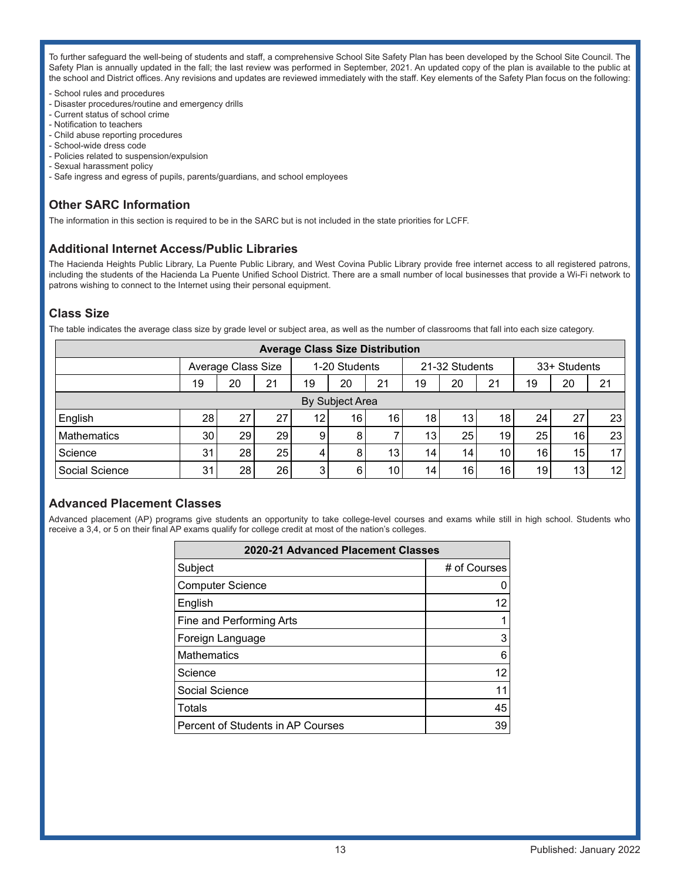To further safeguard the well-being of students and staff, a comprehensive School Site Safety Plan has been developed by the School Site Council. The Safety Plan is annually updated in the fall; the last review was performed in September, 2021. An updated copy of the plan is available to the public at the school and District offices. Any revisions and updates are reviewed immediately with the staff. Key elements of the Safety Plan focus on the following:

- School rules and procedures
- Disaster procedures/routine and emergency drills
- Current status of school crime
- Notification to teachers
- Child abuse reporting procedures
- School-wide dress code
- Policies related to suspension/expulsion
- Sexual harassment policy
- Safe ingress and egress of pupils, parents/guardians, and school employees

# **Other SARC Information**

The information in this section is required to be in the SARC but is not included in the state priorities for LCFF.

### **Additional Internet Access/Public Libraries**

The Hacienda Heights Public Library, La Puente Public Library, and West Covina Public Library provide free internet access to all registered patrons, including the students of the Hacienda La Puente Unified School District. There are a small number of local businesses that provide a Wi-Fi network to patrons wishing to connect to the Internet using their personal equipment.

### **Class Size**

The table indicates the average class size by grade level or subject area, as well as the number of classrooms that fall into each size category.

| <b>Average Class Size Distribution</b> |                 |                    |    |    |               |    |                 |    |                 |                 |                 |    |
|----------------------------------------|-----------------|--------------------|----|----|---------------|----|-----------------|----|-----------------|-----------------|-----------------|----|
|                                        |                 | Average Class Size |    |    | 1-20 Students |    | 21-32 Students  |    |                 | 33+ Students    |                 |    |
|                                        | 19              | 20                 | 21 | 19 | 20            | 21 | 19              | 20 | 21              | 19              | 20              | 21 |
|                                        | By Subject Area |                    |    |    |               |    |                 |    |                 |                 |                 |    |
| English                                | 28              | 27                 | 27 | 12 | 16            | 16 | 18              | 13 | 18              | 24 <sub>1</sub> | 27              | 23 |
| <b>Mathematics</b>                     | 30              | 29                 | 29 | 9  | 8             |    | 13              | 25 | 19              | 25              | 16              | 23 |
| Science                                | 31              | 28                 | 25 |    | 8             | 13 | 14 <sub>1</sub> | 14 | 10 <sub>1</sub> | 16              | 15              | 17 |
| Social Science                         | 31              | 28                 | 26 | 3  | 6             | 10 | 14              | 16 | 16              | 19              | 13 <sub>1</sub> | 12 |

### **Advanced Placement Classes**

Advanced placement (AP) programs give students an opportunity to take college-level courses and exams while still in high school. Students who receive a 3,4, or 5 on their final AP exams qualify for college credit at most of the nation's colleges.

| 2020-21 Advanced Placement Classes |              |  |  |  |
|------------------------------------|--------------|--|--|--|
| Subject                            | # of Courses |  |  |  |
| <b>Computer Science</b>            |              |  |  |  |
| English                            | 12           |  |  |  |
| Fine and Performing Arts           |              |  |  |  |
| Foreign Language                   | 3            |  |  |  |
| <b>Mathematics</b>                 | 6            |  |  |  |
| Science                            | 12           |  |  |  |
| Social Science                     | 11           |  |  |  |
| Totals                             | 45           |  |  |  |
| Percent of Students in AP Courses  | 39           |  |  |  |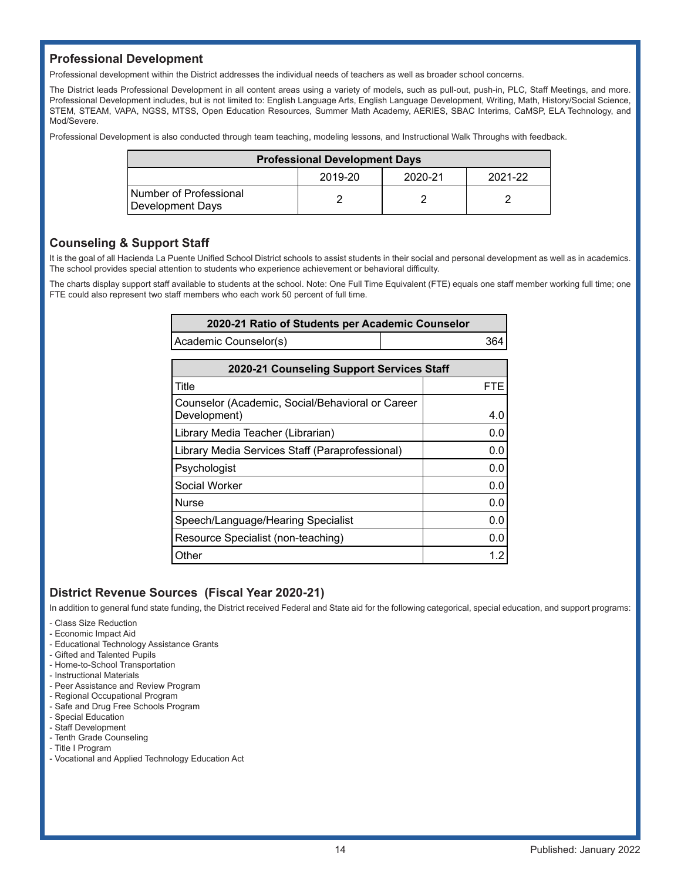### **Professional Development**

Professional development within the District addresses the individual needs of teachers as well as broader school concerns.

The District leads Professional Development in all content areas using a variety of models, such as pull-out, push-in, PLC, Staff Meetings, and more. Professional Development includes, but is not limited to: English Language Arts, English Language Development, Writing, Math, History/Social Science, STEM, STEAM, VAPA, NGSS, MTSS, Open Education Resources, Summer Math Academy, AERIES, SBAC Interims, CaMSP, ELA Technology, and Mod/Severe.

Professional Development is also conducted through team teaching, modeling lessons, and Instructional Walk Throughs with feedback.

| <b>Professional Development Days</b>       |                               |  |  |  |  |  |  |
|--------------------------------------------|-------------------------------|--|--|--|--|--|--|
|                                            | 2019-20<br>2021-22<br>2020-21 |  |  |  |  |  |  |
| Number of Professional<br>Development Days |                               |  |  |  |  |  |  |

### **Counseling & Support Staff**

It is the goal of all Hacienda La Puente Unified School District schools to assist students in their social and personal development as well as in academics. The school provides special attention to students who experience achievement or behavioral difficulty.

The charts display support staff available to students at the school. Note: One Full Time Equivalent (FTE) equals one staff member working full time; one FTE could also represent two staff members who each work 50 percent of full time.

| 2020-21 Ratio of Students per Academic Counselor |     |
|--------------------------------------------------|-----|
| Academic Counselor(s)                            | 364 |

| 2020-21 Counseling Support Services Staff                        |     |  |  |  |
|------------------------------------------------------------------|-----|--|--|--|
| Title                                                            | FTE |  |  |  |
| Counselor (Academic, Social/Behavioral or Career<br>Development) | 4.0 |  |  |  |
| Library Media Teacher (Librarian)                                | 0.0 |  |  |  |
| Library Media Services Staff (Paraprofessional)                  | 0.0 |  |  |  |
| Psychologist                                                     | 0.0 |  |  |  |
| Social Worker                                                    | 0.0 |  |  |  |
| <b>Nurse</b>                                                     | 0.0 |  |  |  |
| Speech/Language/Hearing Specialist                               | 0.0 |  |  |  |
| Resource Specialist (non-teaching)                               | 0.0 |  |  |  |
| Other                                                            | 1.2 |  |  |  |

### **District Revenue Sources (Fiscal Year 2020-21)**

In addition to general fund state funding, the District received Federal and State aid for the following categorical, special education, and support programs:

- Class Size Reduction

- Economic Impact Aid
- Educational Technology Assistance Grants
- Gifted and Talented Pupils
- Home-to-School Transportation
- Instructional Materials
- Peer Assistance and Review Program
- Regional Occupational Program
- Safe and Drug Free Schools Program
- Special Education
- Staff Development
- Tenth Grade Counseling - Title I Program
- Vocational and Applied Technology Education Act